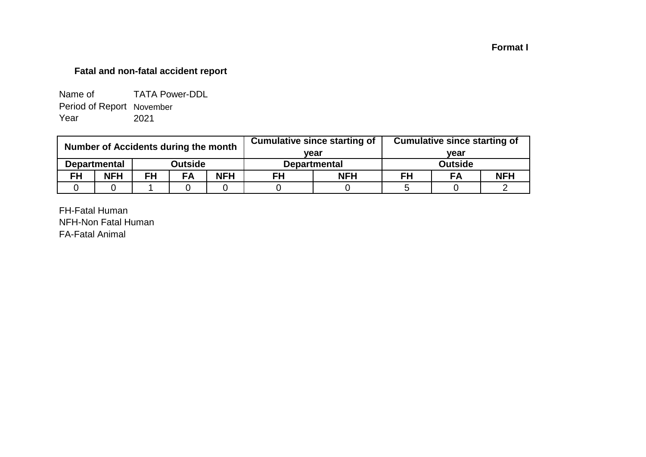## **Format I**

## **Fatal and non-fatal accident report**

| Name of                   | <b>TATA Power-DDL</b> |
|---------------------------|-----------------------|
| Period of Report November |                       |
| Year                      | 2021                  |

| Number of Accidents during the month |                     |           |                |            |                     | <b>Cumulative since starting of</b> | <b>Cumulative since starting of</b> |                |            |  |  |
|--------------------------------------|---------------------|-----------|----------------|------------|---------------------|-------------------------------------|-------------------------------------|----------------|------------|--|--|
|                                      |                     |           | vear           |            | vear                |                                     |                                     |                |            |  |  |
|                                      | <b>Departmental</b> |           | <b>Outside</b> |            | <b>Departmental</b> |                                     |                                     | <b>Outside</b> |            |  |  |
| <b>FH</b>                            | <b>NFH</b>          | <b>FH</b> | <b>FA</b>      | <b>NFH</b> | FH                  | <b>NFH</b>                          | FH                                  | FA             | <b>NFH</b> |  |  |
|                                      |                     |           |                |            |                     |                                     |                                     |                |            |  |  |

FH-Fatal Human NFH-Non Fatal Human FA-Fatal Animal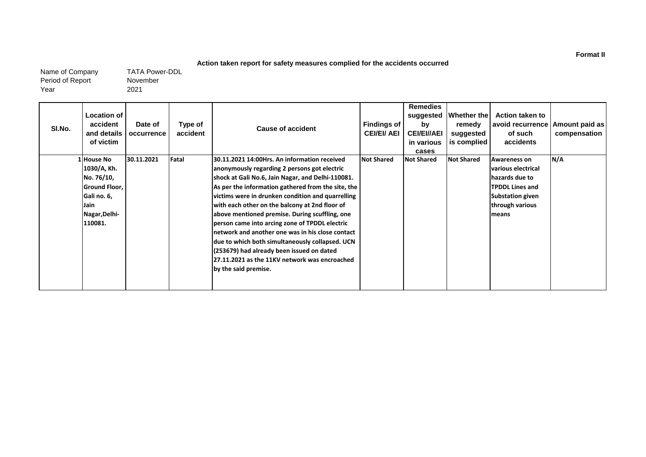#### **Action taken report for safety measures complied for the accidents occurred**

Name of Company Period of Report Year

November 2021 TATA Power-DDL

| SI.No. | Location of<br>accident<br>and details<br>of victim                                                        | Date of<br>occurrence | Type of<br>accident | <b>Cause of accident</b>                                                                                                                                                                                                                                                                                                                                                                                                                                                                                                                                                                                                                        | <b>Findings of</b><br><b>CEI/EI/ AEI</b> | <b>Remedies</b><br>suggested<br>by<br><b>CEI/EI//AEI</b><br>in various<br>cases | <b>Whether the</b><br>remedy<br>suggested<br>is complied | <b>Action taken to</b><br>avoid recurrence<br>of such<br>accidents                                                                           | Amount paid as<br>compensation |
|--------|------------------------------------------------------------------------------------------------------------|-----------------------|---------------------|-------------------------------------------------------------------------------------------------------------------------------------------------------------------------------------------------------------------------------------------------------------------------------------------------------------------------------------------------------------------------------------------------------------------------------------------------------------------------------------------------------------------------------------------------------------------------------------------------------------------------------------------------|------------------------------------------|---------------------------------------------------------------------------------|----------------------------------------------------------|----------------------------------------------------------------------------------------------------------------------------------------------|--------------------------------|
|        | LHouse No<br>1030/A, Kh.<br>No. 76/10,<br>Ground Floor,<br>Gali no. 6,<br>Jain<br>Nagar, Delhi-<br>110081. | 30.11.2021            | Fatal               | 30.11.2021 14:00Hrs. An information received<br>anonymously regarding 2 persons got electric<br>shock at Gali No.6, Jain Nagar, and Delhi-110081.<br>As per the information gathered from the site, the<br>victims were in drunken condition and quarrelling<br>with each other on the balcony at 2nd floor of<br>above mentioned premise. During scuffling, one<br>person came into arcing zone of TPDDL electric<br>network and another one was in his close contact<br>due to which both simultaneously collapsed. UCN<br>(253679) had already been issued on dated<br>27.11.2021 as the 11KV network was encroached<br>by the said premise. | <b>Not Shared</b>                        | <b>Not Shared</b>                                                               | <b>Not Shared</b>                                        | <b>Awareness on</b><br>various electrical<br>hazards due to<br><b>TPDDL Lines and</b><br><b>Substation given</b><br>through various<br>means | N/A                            |

**Format II**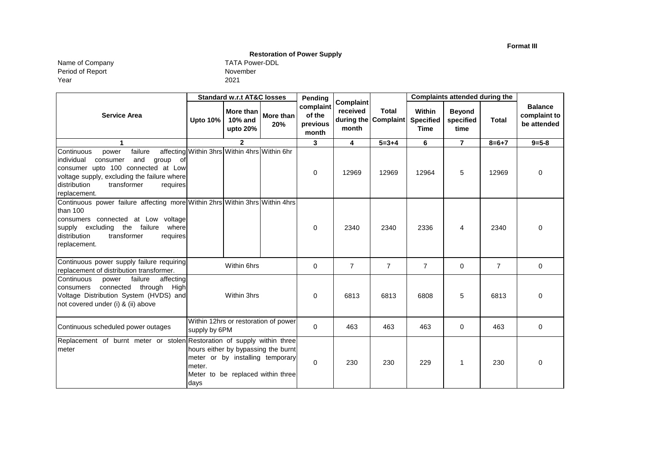**Format III**

## **Restoration of Power Supply**

Name of Company TATA Power-DDL Period of Report Year

| TATA Power-D |  |
|--------------|--|
| November     |  |
| 2021         |  |

|                                                                                                                                                                                                                                |                                                                                                                                                 | <b>Standard w.r.t AT&amp;C losses</b>        |                                      | Pending                                  |                                |                                      |                                                  | <b>Complaints attended during the</b> |                |                                               |
|--------------------------------------------------------------------------------------------------------------------------------------------------------------------------------------------------------------------------------|-------------------------------------------------------------------------------------------------------------------------------------------------|----------------------------------------------|--------------------------------------|------------------------------------------|--------------------------------|--------------------------------------|--------------------------------------------------|---------------------------------------|----------------|-----------------------------------------------|
| <b>Service Area</b>                                                                                                                                                                                                            | <b>Upto 10%</b>                                                                                                                                 | More than<br>10% and<br>upto 20%             | More than<br>20%                     | complaint<br>of the<br>previous<br>month | Complaint<br>received<br>month | <b>Total</b><br>during the Complaint | <b>Within</b><br><b>Specified</b><br><b>Time</b> | <b>Beyond</b><br>specified<br>time    | <b>Total</b>   | <b>Balance</b><br>complaint to<br>be attended |
| 1                                                                                                                                                                                                                              |                                                                                                                                                 | $\overline{2}$                               |                                      | 3                                        | $\overline{\mathbf{4}}$        | $5 = 3 + 4$                          | 6                                                | $\overline{7}$                        | $8 = 6 + 7$    | $9 = 5 - 8$                                   |
| failure<br>Continuous<br>power<br>and<br>individual<br>group<br>consumer<br>of<br>consumer upto 100 connected at Low<br>voltage supply, excluding the failure where<br>distribution<br>transformer<br>requires<br>replacement. |                                                                                                                                                 | affecting Within 3hrs Within 4hrs Within 6hr |                                      | $\mathbf 0$                              | 12969                          | 12969                                | 12964                                            | 5                                     | 12969          | 0                                             |
| Continuous power failure affecting more Within 2hrs Within 3hrs Within 4hrs<br>than 100<br>consumers connected at Low voltage<br>supply excluding the failure where<br>transformer<br>distribution<br>requires<br>replacement. |                                                                                                                                                 |                                              |                                      | $\mathbf 0$                              | 2340                           | 2340                                 | 2336                                             | 4                                     | 2340           | 0                                             |
| Continuous power supply failure requiring<br>replacement of distribution transformer.                                                                                                                                          |                                                                                                                                                 | Within 6hrs                                  |                                      | $\mathbf 0$                              | $\overline{7}$                 | $\overline{7}$                       | $\overline{7}$                                   | $\mathbf 0$                           | $\overline{7}$ | $\mathbf 0$                                   |
| failure<br>affecting<br>Continuous<br>power<br>connected through High<br>consumers<br>Voltage Distribution System (HVDS) and<br>not covered under (i) & (ii) above                                                             |                                                                                                                                                 | Within 3hrs                                  |                                      | $\Omega$                                 | 6813                           | 6813                                 | 6808                                             | 5                                     | 6813           | $\mathbf 0$                                   |
| Continuous scheduled power outages                                                                                                                                                                                             |                                                                                                                                                 |                                              | Within 12hrs or restoration of power | $\Omega$                                 | 463                            | 463                                  | 463                                              | $\Omega$                              | 463            | $\Omega$                                      |
| Replacement of burnt meter or stolen Restoration of supply within three<br>meter                                                                                                                                               | supply by 6PM<br>hours either by bypassing the burnt<br>meter or by installing temporary<br>meter.<br>Meter to be replaced within three<br>days |                                              | $\Omega$                             | 230                                      | 230                            | 229                                  | 1                                                | 230                                   | 0              |                                               |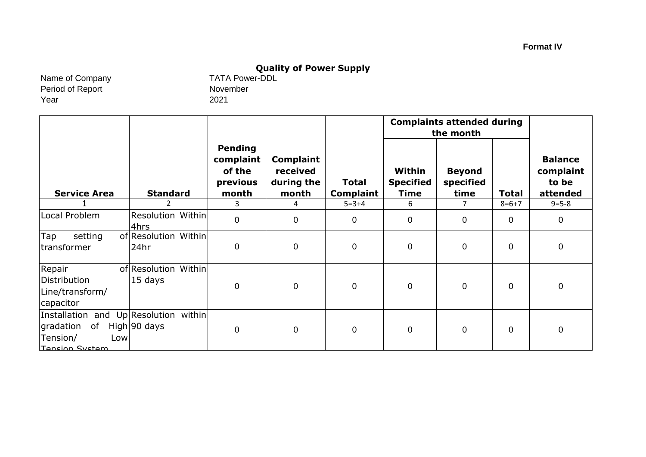# **Quality of Power Supply**<br>TATA Power-DDL

Name of Company Period of Report Year

November 2021

|                                                                                                      |                                 |                                                     |                                                     |                                  | <b>Complaints attended during</b><br>the month |                                    |                |                                                  |
|------------------------------------------------------------------------------------------------------|---------------------------------|-----------------------------------------------------|-----------------------------------------------------|----------------------------------|------------------------------------------------|------------------------------------|----------------|--------------------------------------------------|
| <b>Service Area</b>                                                                                  | <b>Standard</b>                 | Pending<br>complaint<br>of the<br>previous<br>month | <b>Complaint</b><br>received<br>during the<br>month | <b>Total</b><br><b>Complaint</b> | Within<br><b>Specified</b><br><b>Time</b>      | <b>Beyond</b><br>specified<br>time | <b>Total</b>   | <b>Balance</b><br>complaint<br>to be<br>attended |
|                                                                                                      | 2                               | 3                                                   | 4                                                   | $5 = 3 + 4$                      | 6                                              | 7                                  | $8 = 6 + 7$    | $9 = 5 - 8$                                      |
| Local Problem                                                                                        | Resolution Within<br>4hrs       | $\mathbf 0$                                         | $\pmb{0}$                                           | $\mathbf 0$                      | $\overline{0}$                                 | $\overline{0}$                     | $\Omega$       | $\mathbf 0$                                      |
| Tap<br>setting<br>transformer                                                                        | of Resolution Within<br>24hr    | 0                                                   | $\mathbf 0$                                         | $\pmb{0}$                        | $\mathbf 0$                                    | 0                                  | $\mathbf 0$    | $\mathbf 0$                                      |
| Repair<br>Distribution<br>Line/transform/<br>capacitor                                               | of Resolution Within<br>15 days | 0                                                   | $\boldsymbol{0}$                                    | $\mathbf 0$                      | $\overline{0}$                                 | $\overline{0}$                     | $\overline{0}$ | $\mathbf 0$                                      |
| Installation and Up Resolution within<br>of<br>gradation<br>Tension/<br>Low<br><b>Tension System</b> | High 90 days                    | 0                                                   | $\pmb{0}$                                           | $\mathbf 0$                      | $\overline{0}$                                 | $\overline{0}$                     | 0              | $\mathbf 0$                                      |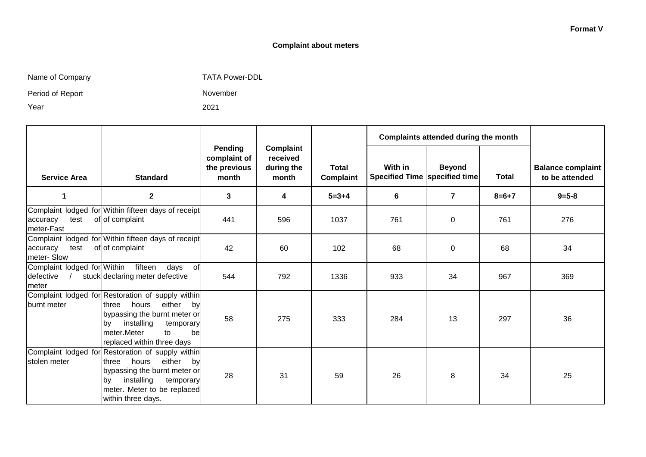### **Complaint about meters**

Name of Company TATA Power-DDL

Period of Report

Year

November 2021

|                                                   |                                                                                                                                                                                                                                      |                                                  |                                              |                           | Complaints attended during the month       |                |              |                                            |
|---------------------------------------------------|--------------------------------------------------------------------------------------------------------------------------------------------------------------------------------------------------------------------------------------|--------------------------------------------------|----------------------------------------------|---------------------------|--------------------------------------------|----------------|--------------|--------------------------------------------|
| <b>Service Area</b>                               | <b>Standard</b>                                                                                                                                                                                                                      | Pending<br>complaint of<br>the previous<br>month | Complaint<br>received<br>during the<br>month | <b>Total</b><br>Complaint | With in<br>Specified Time   specified time | <b>Beyond</b>  | <b>Total</b> | <b>Balance complaint</b><br>to be attended |
| 1                                                 | $\mathbf 2$                                                                                                                                                                                                                          | 3                                                | 4                                            | $5 = 3 + 4$               | 6                                          | $\overline{7}$ | $8 = 6 + 7$  | $9 = 5 - 8$                                |
| test<br>accuracy<br>meter-Fast                    | Complaint lodged for Within fifteen days of receipt<br>of of complaint                                                                                                                                                               | 441                                              | 596                                          | 1037                      | 761                                        | 0              | 761          | 276                                        |
| accuracy<br>test<br>meter-Slow                    | Complaint lodged for Within fifteen days of receipt<br>of of complaint                                                                                                                                                               | 42                                               | 60                                           | 102                       | 68                                         | 0              | 68           | 34                                         |
| Complaint lodged for Within<br>defective<br>meter | fifteen<br>days of<br>stuck declaring meter defective                                                                                                                                                                                | 544                                              | 792                                          | 1336                      | 933                                        | 34             | 967          | 369                                        |
| burnt meter                                       | Complaint lodged for Restoration of supply within<br>hours<br>either<br><b>Ithree</b><br>byl<br>bypassing the burnt meter or<br>installing<br>temporary<br>lbv.<br>meter.Meter<br>$\mathsf{to}$<br>bel<br>replaced within three days | 58                                               | 275                                          | 333                       | 284                                        | 13             | 297          | 36                                         |
| stolen meter                                      | Complaint lodged for Restoration of supply within<br>hours<br>either<br>three<br>by<br>bypassing the burnt meter or<br>installing<br>temporary<br>lby<br>meter. Meter to be replaced<br>within three days.                           | 28                                               | 31                                           | 59                        | 26                                         | 8              | 34           | 25                                         |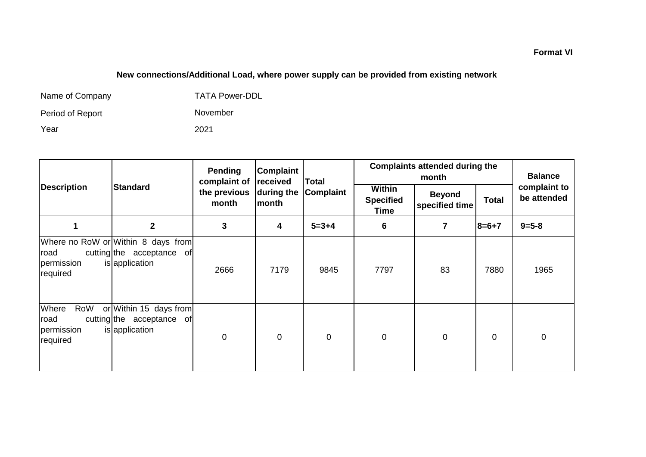## **New connections/Additional Load, where power supply can be provided from existing network**

| Name of Company  | <b>TATA Power-DDL</b> |
|------------------|-----------------------|
| Period of Report | November              |
| Year             | 2021                  |

|                                                |                                                                                   | Pending<br>complaint of | Complaint<br>received | <b>Total</b> | <b>Complaints attended during the</b>            | <b>Balance</b>                  |              |                             |
|------------------------------------------------|-----------------------------------------------------------------------------------|-------------------------|-----------------------|--------------|--------------------------------------------------|---------------------------------|--------------|-----------------------------|
| <b>Description</b>                             | <b>Standard</b>                                                                   | the previous<br>month   | during the<br>month   | Complaint    | <b>Within</b><br><b>Specified</b><br><b>Time</b> | <b>Beyond</b><br>specified time | <b>Total</b> | complaint to<br>be attended |
|                                                | $\mathbf 2$                                                                       | 3                       | 4                     | $5 = 3 + 4$  | 6                                                | 7                               | $8=6+7$      | $9 = 5 - 8$                 |
| road<br>permission<br>required                 | Where no RoW or Within 8 days from<br>cutting the acceptance of<br>is application | 2666                    | 7179                  | 9845         | 7797                                             | 83                              | 7880         | 1965                        |
| Where<br>RoW<br>road<br>permission<br>required | or Within 15 days from<br>cutting the acceptance of<br>is application             | $\mathbf 0$             | $\mathbf 0$           | $\mathbf 0$  | 0                                                | $\mathbf 0$                     | $\mathbf 0$  | $\pmb{0}$                   |

## **Format VI**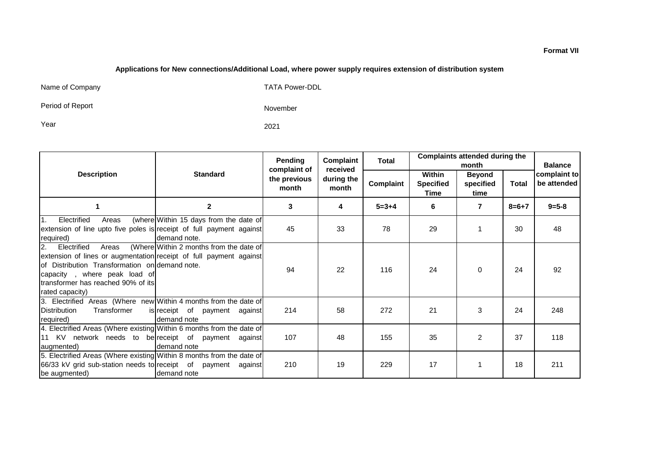#### **Applications for New connections/Additional Load, where power supply requires extension of distribution system**

Name of Company TATA Power-DDL

Period of Report

November

Year 2021

|                                                                                                                                                                                                                                              |                                                        | Pending                               | Complaint                       | Total       | <b>Complaints attended during the</b><br>month |                                    |              | <b>Balance</b>              |
|----------------------------------------------------------------------------------------------------------------------------------------------------------------------------------------------------------------------------------------------|--------------------------------------------------------|---------------------------------------|---------------------------------|-------------|------------------------------------------------|------------------------------------|--------------|-----------------------------|
| <b>Description</b>                                                                                                                                                                                                                           | <b>Standard</b>                                        | complaint of<br>the previous<br>month | received<br>during the<br>month | Complaint   | Within<br><b>Specified</b><br>Time             | <b>Beyond</b><br>specified<br>time | <b>Total</b> | complaint to<br>be attended |
|                                                                                                                                                                                                                                              | $\mathbf 2$                                            | 3                                     | 4                               | $5 = 3 + 4$ | 6                                              | 7                                  | $8 = 6 + 7$  | $9 = 5 - 8$                 |
| $\mathbf{1}$ .<br>Electrified<br>Areas<br>extension of line upto five poles is receipt of full payment against<br>required)                                                                                                                  | (where Within 15 days from the date of<br>demand note. | 45                                    | 33                              | 78          | 29                                             |                                    | 30           | 48                          |
| Electrified<br>I2.<br>Areas<br>extension of lines or augmentation receipt of full payment against<br>of Distribution Transformation on demand note.<br>capacity, where peak load of<br>transformer has reached 90% of its<br>rated capacity) | (Where Within 2 months from the date of                | 94                                    | 22                              | 116         | 24                                             | $\Omega$                           | 24           | 92                          |
| 3. Electrified Areas (Where new Within 4 months from the date of<br>Distribution<br>Transformer<br>required)                                                                                                                                 | is receipt of payment against<br>demand note           | 214                                   | 58                              | 272         | 21                                             | 3                                  | 24           | 248                         |
| 4. Electrified Areas (Where existing Within 6 months from the date of<br>11 KV network needs to be receipt of payment against<br>augmented)                                                                                                  | demand note                                            | 107                                   | 48                              | 155         | 35                                             | $\overline{2}$                     | 37           | 118                         |
| 5. Electrified Areas (Where existing Within 8 months from the date of<br>66/33 kV grid sub-station needs to receipt of payment against<br>be augmented)                                                                                      | demand note                                            | 210                                   | 19                              | 229         | 17                                             |                                    | 18           | 211                         |

#### **Format VII**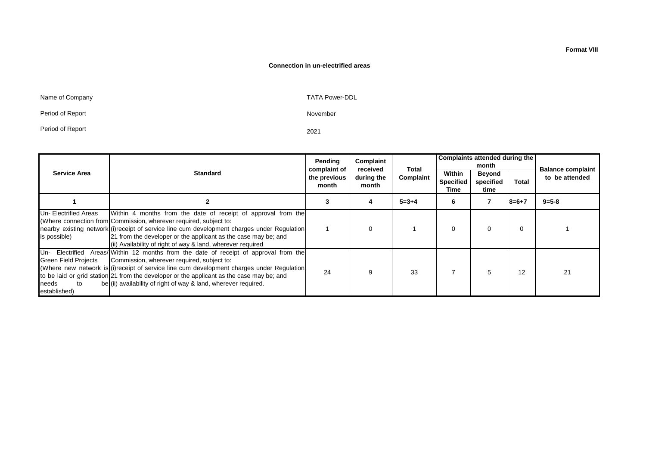#### **Connection in un-electrified areas**

November

Name of Company **TATA Power-DDL** 

Period of Report

Period of Report

2021

|                                                            |                                                                                                                                                                                                                                                                                                                                                                                                     | Pending<br>complaint of | Complaint<br>received | Total       | Complaints attended during the<br>month |                             |             | <b>Balance complaint</b> |
|------------------------------------------------------------|-----------------------------------------------------------------------------------------------------------------------------------------------------------------------------------------------------------------------------------------------------------------------------------------------------------------------------------------------------------------------------------------------------|-------------------------|-----------------------|-------------|-----------------------------------------|-----------------------------|-------------|--------------------------|
| <b>Service Area</b>                                        | <b>Standard</b>                                                                                                                                                                                                                                                                                                                                                                                     |                         | during the<br>month   | Complaint   | Within<br><b>Specified</b><br>Time      | Beyond<br>specified<br>time | Total       | to be attended           |
|                                                            |                                                                                                                                                                                                                                                                                                                                                                                                     |                         |                       | $5 = 3 + 4$ | 6                                       |                             | $8 = 6 + 7$ | $9 = 5 - 8$              |
| Un- Electrified Areas<br>is possible)                      | Within 4 months from the date of receipt of approval from the<br>(Where connection from Commission, wherever required, subject to:<br>nearby existing network (i) receipt of service line cum development charges under Requiation<br>21 from the developer or the applicant as the case may be; and<br>(ii) Availability of right of way & land, wherever required                                 |                         |                       |             |                                         |                             | $\Omega$    |                          |
| <b>Green Field Projects</b><br>needs<br>to<br>established) | Un- Electrified Areas/ Within 12 months from the date of receipt of approval from the<br>Commission, wherever required, subject to:<br>(Where new network is $(i)$ receipt of service line cum development charges under Regulation<br>to be laid or grid station 21 from the developer or the applicant as the case may be; and<br>be (ii) availability of right of way & land, wherever required. | 24                      |                       | 33          |                                         | 5                           | 12          | 21                       |

**Format VIII**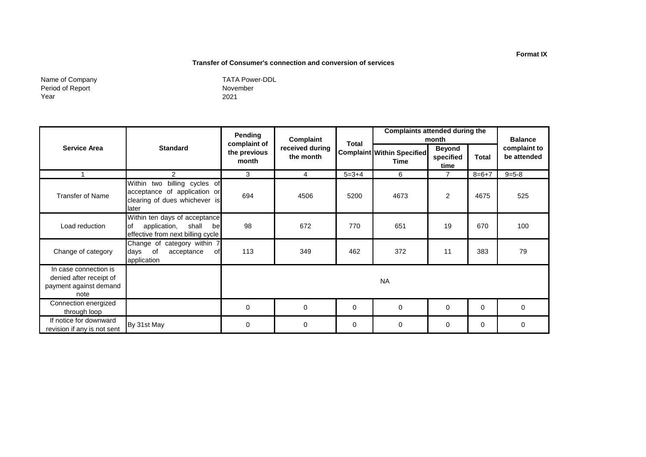#### **Transfer of Consumer's connection and conversion of services**

Name of Company Period of Report Year

November 2021 TATA Power-DDL

|                                                                                    |                                                                                                           | Pending                               | Complaint                    | Total       | <b>Complaints attended during the</b>     | month                              |              | <b>Balance</b>              |  |
|------------------------------------------------------------------------------------|-----------------------------------------------------------------------------------------------------------|---------------------------------------|------------------------------|-------------|-------------------------------------------|------------------------------------|--------------|-----------------------------|--|
| <b>Service Area</b>                                                                | <b>Standard</b>                                                                                           | complaint of<br>the previous<br>month | received during<br>the month |             | <b>Complaint Within Specified</b><br>Time | <b>Beyond</b><br>specified<br>time | <b>Total</b> | complaint to<br>be attended |  |
|                                                                                    | 2                                                                                                         | 3                                     | 4                            | $5 = 3 + 4$ | 6                                         | $\overline{7}$                     | $8=6+7$      | $9 = 5 - 8$                 |  |
| <b>Transfer of Name</b>                                                            | Within two billing cycles of<br>acceptance of application or<br>clearing of dues whichever is<br>later    | 694                                   | 4506                         | 5200        | 4673                                      | $\overline{2}$                     | 4675         | 525                         |  |
| Load reduction                                                                     | Within ten days of acceptance<br>lof<br>application,<br>shall<br>bel<br>effective from next billing cycle | 98                                    | 672                          | 770         | 651                                       | 19                                 | 670          | 100                         |  |
| Change of category                                                                 | Change of category within 7<br>days of<br>acceptance<br>of.<br>application                                | 113                                   | 349                          | 462         | 372                                       | 11                                 | 383          | 79                          |  |
| In case connection is<br>denied after receipt of<br>payment against demand<br>note |                                                                                                           | <b>NA</b>                             |                              |             |                                           |                                    |              |                             |  |
| Connection energized<br>through loop                                               |                                                                                                           | $\mathbf 0$                           | 0                            | 0           | $\mathbf 0$                               | $\Omega$                           | $\Omega$     | $\Omega$                    |  |
| If notice for downward<br>revision if any is not sent                              | By 31st May                                                                                               | 0                                     | 0                            | 0           | 0                                         | 0                                  | 0            | $\Omega$                    |  |

#### **Format IX**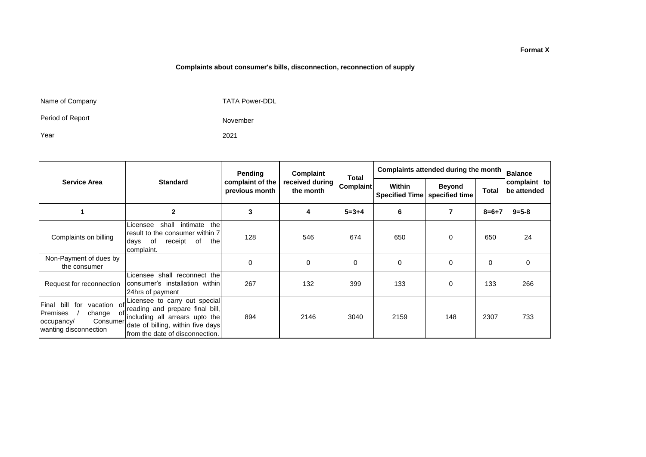#### **Complaints about consumer's bills, disconnection, reconnection of supply**

Name of Company

TATA Power-DDL

November

2021

Period of Report

Year

|                                                                                                                      | <b>Standard</b>                                                                                                                                                             | Pending<br>complaint of the<br>previous month | Complaint<br>received during<br>the month | <b>Total</b><br>Complaint | Complaints attended during the month |                                 |          | <b>Balance</b>                     |
|----------------------------------------------------------------------------------------------------------------------|-----------------------------------------------------------------------------------------------------------------------------------------------------------------------------|-----------------------------------------------|-------------------------------------------|---------------------------|--------------------------------------|---------------------------------|----------|------------------------------------|
| <b>Service Area</b>                                                                                                  |                                                                                                                                                                             |                                               |                                           |                           | Within<br><b>Specified Time</b>      | <b>Beyond</b><br>specified time | Total    | complaint to<br><b>be attended</b> |
|                                                                                                                      | $\mathbf{2}$                                                                                                                                                                | 3                                             | 4                                         | $5 = 3 + 4$               | 6                                    | 7                               | $8=6+7$  | $9 = 5 - 8$                        |
| Complaints on billing                                                                                                | intimate<br>the<br>shall<br>Licensee<br>result to the consumer within 7<br>receipt of<br>the<br>days<br>of<br>complaint.                                                    | 128                                           | 546                                       | 674                       | 650                                  | 0                               | 650      | 24                                 |
| Non-Payment of dues by<br>the consumer                                                                               |                                                                                                                                                                             | $\Omega$                                      | $\mathbf 0$                               | $\Omega$                  | 0                                    | 0                               | $\Omega$ | 0                                  |
| Request for reconnection                                                                                             | Licensee shall reconnect the<br>consumer's installation within<br>24hrs of payment                                                                                          | 267                                           | 132                                       | 399                       | 133                                  | 0                               | 133      | 266                                |
| Final<br>bill<br>for<br>vacation of<br>Premises<br>change<br>. of<br>Consumer<br>occupancy/<br>wanting disconnection | Licensee to carry out special<br>reading and prepare final bill,<br>including all arrears upto the<br>date of billing, within five days<br>Ifrom the date of disconnection. | 894                                           | 2146                                      | 3040                      | 2159                                 | 148                             | 2307     | 733                                |

**Format X**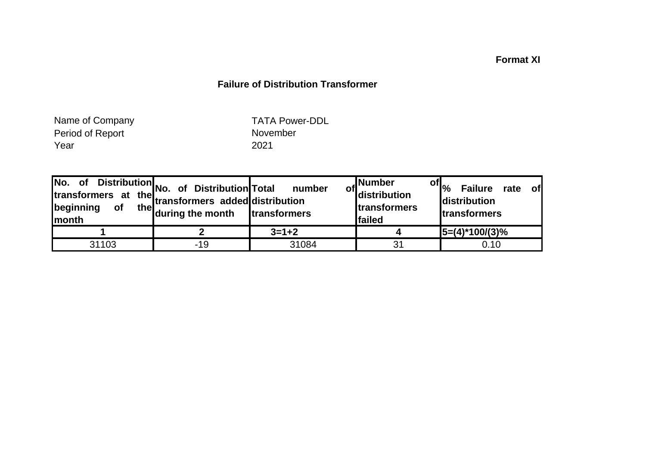## **Format XI**

## **Failure of Distribution Transformer**

Period of Report Year 2021 Name of Company

TATA Power-DDL

| No. of Distribution<br>transformers at the second behind the lines<br>beginning<br><b>of</b><br>Imonth | transformers added distribution<br>the during the month | number<br>transformers | ,Number<br>of distribution<br>transformers<br>failed | $\mathsf{of}  _{\mathsf{O}_\mathsf{O}}$<br><b>Failure</b><br>rate of<br>distribution<br><b>Itransformers</b> |
|--------------------------------------------------------------------------------------------------------|---------------------------------------------------------|------------------------|------------------------------------------------------|--------------------------------------------------------------------------------------------------------------|
|                                                                                                        |                                                         | $3 = 1 + 2$            |                                                      | $ 5=(4)^*100/(3)\%$                                                                                          |
| 31103                                                                                                  | $-19$                                                   | 31084                  | 31                                                   | 0.10                                                                                                         |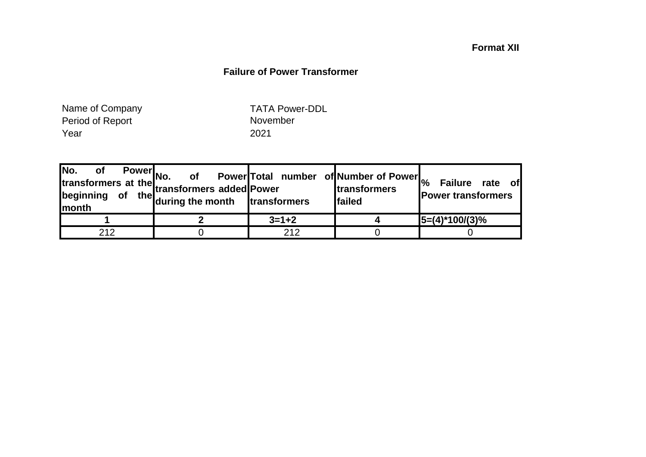## **Format XII**

## **Failure of Power Transformer**

Period of Report Nove<br>
Year 2021 Year Name of Company

TATA Power-DDL

|     | Power<br>No. of reduced Power<br>of the during the month transformers lfails | Power Total number of Number of Power <sub>%</sub> | <b>Itransformers</b><br><b>Ifailed</b> | <b>Failure</b><br>rate of<br><b>Power transformers</b> |
|-----|------------------------------------------------------------------------------|----------------------------------------------------|----------------------------------------|--------------------------------------------------------|
|     |                                                                              | $3 = 1 + 2$                                        |                                        | $ 5=(4)^*100/(3)\%$                                    |
| 212 |                                                                              | 212                                                |                                        |                                                        |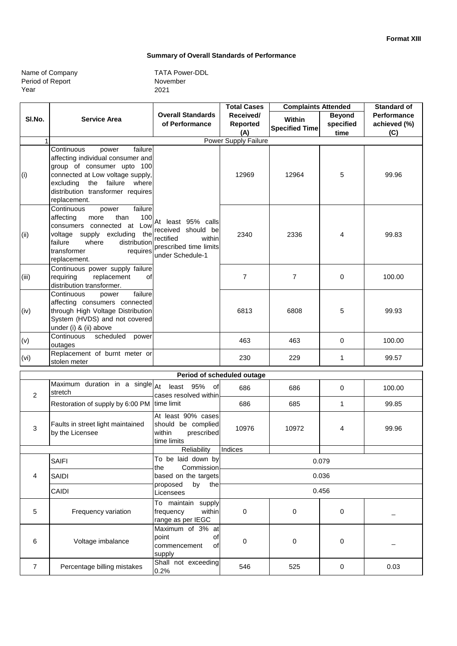#### **Summary of Overall Standards of Performance**

| Name of Company  |  |
|------------------|--|
| Period of Report |  |
| Year             |  |

November 2021 TATA Power-DDL

|                                                                      |                                                                                                                                                                                                                              |                                                                                                               | <b>Total Cases</b>         |                       | <b>Complaints Attended</b> |                    |
|----------------------------------------------------------------------|------------------------------------------------------------------------------------------------------------------------------------------------------------------------------------------------------------------------------|---------------------------------------------------------------------------------------------------------------|----------------------------|-----------------------|----------------------------|--------------------|
| SI.No.                                                               | <b>Service Area</b>                                                                                                                                                                                                          | <b>Overall Standards</b>                                                                                      | Received/                  | Within                | <b>Beyond</b>              | <b>Performance</b> |
|                                                                      |                                                                                                                                                                                                                              | of Performance                                                                                                | Reported                   | <b>Specified Time</b> | specified                  | achieved (%)       |
|                                                                      |                                                                                                                                                                                                                              |                                                                                                               | (A)                        |                       | time                       | (C)                |
| 1                                                                    |                                                                                                                                                                                                                              |                                                                                                               | Power Supply Failure       |                       |                            |                    |
| (i)                                                                  | failure<br>Continuous<br>power<br>affecting individual consumer and<br>group of consumer upto 100<br>connected at Low voltage supply,<br>the failure where<br>excluding<br>distribution transformer requires<br>replacement. |                                                                                                               | 12969                      | 12964                 | 5                          | 99.96              |
| (ii)                                                                 | Continuous<br>failure<br>power<br>100<br>affecting<br>more<br>than<br>consumers connected at Low<br>voltage supply excluding the<br>failure<br>distribution<br>where<br>transformer<br>requires<br>replacement.              | At least 95% calls<br>received should be<br>rectified<br>within<br>prescribed time limits<br>under Schedule-1 | 2340                       | 2336                  | 4                          | 99.83              |
| (iii)                                                                | Continuous power supply failure<br>replacement<br>requiring<br>οf<br>distribution transformer.                                                                                                                               |                                                                                                               | $\overline{7}$             | $\overline{7}$        | 0                          | 100.00             |
| (iv)                                                                 | failure<br>Continuous<br>power<br>affecting consumers connected<br>through High Voltage Distribution<br>System (HVDS) and not covered<br>under (i) & (ii) above                                                              |                                                                                                               | 6813                       | 6808                  | 5                          | 99.93              |
| (v)                                                                  | Continuous<br>scheduled<br>power<br>outages                                                                                                                                                                                  |                                                                                                               | 463                        | 463                   | 0                          | 100.00             |
| (vi)                                                                 | Replacement of burnt meter or<br>stolen meter                                                                                                                                                                                |                                                                                                               | 230                        | 229                   | 1                          | 99.57              |
|                                                                      |                                                                                                                                                                                                                              |                                                                                                               | Period of scheduled outage |                       |                            |                    |
| 2                                                                    | Maximum duration in a single $A$ t<br>stretch                                                                                                                                                                                | least 95% of<br>cases resolved within                                                                         | 686                        | 686                   | 0                          | 100.00             |
|                                                                      | Restoration of supply by 6:00 PM                                                                                                                                                                                             | time limit                                                                                                    | 686                        | 685                   | 1                          | 99.85              |
| 3                                                                    | Faults in street light maintained<br>by the Licensee                                                                                                                                                                         | At least 90% cases<br>should be complied<br>within<br>prescribed<br>time limits                               | 10976                      | 10972                 | 4                          | 99.96              |
|                                                                      |                                                                                                                                                                                                                              | Reliability                                                                                                   | Indices                    |                       |                            |                    |
|                                                                      | <b>SAIFI</b>                                                                                                                                                                                                                 | To be laid down by<br>Commission<br>the                                                                       |                            |                       | 0.079                      |                    |
| 0.036<br>based on the targets<br>4<br>SAIDI<br>by<br>proposed<br>the |                                                                                                                                                                                                                              |                                                                                                               |                            |                       |                            |                    |
|                                                                      | CAIDI                                                                                                                                                                                                                        | Licensees                                                                                                     | 0.456                      |                       |                            |                    |
| 5                                                                    | Frequency variation                                                                                                                                                                                                          | To maintain supply<br>frequency<br>within<br>range as per IEGC                                                | 0                          | 0                     | 0                          |                    |
| 6                                                                    | Voltage imbalance                                                                                                                                                                                                            | Maximum of 3% at<br>point<br>οf<br>commencement<br>οf<br>supply                                               | 0                          | 0                     | 0                          |                    |
| $\overline{7}$                                                       | Percentage billing mistakes                                                                                                                                                                                                  | Shall not exceeding<br>0.2%                                                                                   | 546                        | 525                   | 0                          | 0.03               |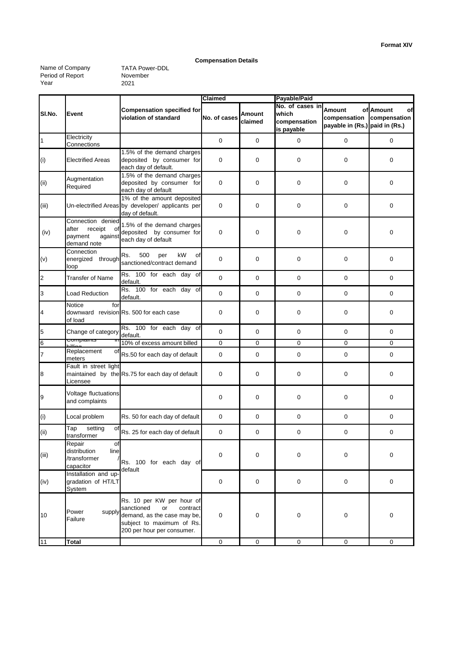#### **Compensation Details**

Name of Company Period of Report Year

November 2021 TATA Power-DDL

|                |                                                                                  |                                                                                                                                                     | <b>Claimed</b> |                   | Payable/Paid                                           |                                                          |                                 |  |
|----------------|----------------------------------------------------------------------------------|-----------------------------------------------------------------------------------------------------------------------------------------------------|----------------|-------------------|--------------------------------------------------------|----------------------------------------------------------|---------------------------------|--|
| SI.No.         | Event                                                                            | <b>Compensation specified for</b><br>violation of standard                                                                                          | No. of cases   | Amount<br>claimed | No. of cases in<br>which<br>compensation<br>is payable | Amount<br>compensation<br>payable in (Rs.) paid in (Rs.) | of Amount<br>οf<br>compensation |  |
| $\mathbf{1}$   | Electricity<br>Connections                                                       |                                                                                                                                                     | 0              | 0                 | 0                                                      | 0                                                        | 0                               |  |
| (i)            | Electrified Areas                                                                | 1.5% of the demand charges<br>deposited by consumer for<br>each day of default.                                                                     | 0              | 0                 | $\mathbf 0$                                            | 0                                                        | $\mathbf 0$                     |  |
| (ii)           | Augmentation<br>Required                                                         | 1.5% of the demand charges<br>deposited by consumer for<br>each day of default                                                                      | $\mathbf 0$    | $\mathbf 0$       | $\mathbf 0$                                            | 0                                                        | $\mathbf 0$                     |  |
| (iii)          |                                                                                  | 1% of the amount deposited<br>Un-electrified Areas by developer/ applicants per<br>day of default.                                                  | 0              | $\mathbf 0$       | $\mathbf 0$                                            | 0                                                        | $\mathbf 0$                     |  |
| (iv)           | Connection denied<br>receipt<br>after<br>of<br>payment<br>against<br>demand note | 1.5% of the demand charges<br>deposited by consumer for<br>each day of default                                                                      | 0              | 0                 | $\mathbf 0$                                            | 0                                                        | $\mathbf 0$                     |  |
| (v)            | Connection<br>energized through<br>loop                                          | Rs.<br>500<br>kW<br>per<br>οf<br>sanctioned/contract demand                                                                                         | 0              | 0                 | $\mathbf 0$                                            | 0                                                        | $\mathbf 0$                     |  |
| $\overline{c}$ | <b>Transfer of Name</b>                                                          | Rs. 100 for each day of<br>default.                                                                                                                 | $\mathbf 0$    | $\mathbf 0$       | 0                                                      | 0                                                        | 0                               |  |
| 3              | <b>Load Reduction</b>                                                            | Rs. 100 for each day of<br>default.                                                                                                                 | $\mathbf 0$    | $\mathbf 0$       | $\mathbf 0$                                            | 0                                                        | $\mathbf 0$                     |  |
| 4              | for<br>Notice<br>of load                                                         | downward revision Rs. 500 for each case                                                                                                             | $\mathbf 0$    | $\mathbf 0$       | $\mathbf 0$                                            | 0                                                        | 0                               |  |
| 5              | Change of category                                                               | Rs. 100 for each day of<br>default.                                                                                                                 | $\mathbf 0$    | $\mathbf 0$       | $\mathbf 0$                                            | 0                                                        | $\mathbf 0$                     |  |
| $6\phantom{a}$ | compiaints<br>لنست                                                               | 10% of excess amount billed                                                                                                                         | 0              | 0                 | 0                                                      | 0                                                        | 0                               |  |
| $\overline{7}$ | Replacement<br>οf<br>meters                                                      | Rs.50 for each day of default                                                                                                                       | 0              | $\mathbf 0$       | $\mathbf 0$                                            | 0                                                        | $\mathbf 0$                     |  |
| 8              | Fault in street light<br>Licensee                                                | maintained by the Rs.75 for each day of default                                                                                                     | $\mathbf 0$    | $\mathbf 0$       | $\mathbf 0$                                            | 0                                                        | 0                               |  |
| 9              | Voltage fluctuations<br>and complaints                                           |                                                                                                                                                     | 0              | 0                 | $\mathbf 0$                                            | 0                                                        | $\mathbf 0$                     |  |
| (i)            | Local problem                                                                    | Rs. 50 for each day of default                                                                                                                      | 0              | 0                 | 0                                                      | 0                                                        | 0                               |  |
| (i)            | setting<br>Tap<br>of<br>transformer                                              | Rs. 25 for each day of default                                                                                                                      | $\mathbf 0$    | 0                 | $\mathbf 0$                                            | 0                                                        | $\mathbf 0$                     |  |
| (iii)          | Repair<br>of<br>distribution<br>line<br>/transformer<br>capacitor                | Rs. 100 for each day of                                                                                                                             | 0              | 0                 | 0                                                      | 0                                                        | $\mathbf 0$                     |  |
| (iv)           | Installation and up-<br>gradation of HT/LT<br>System                             | default                                                                                                                                             | 0              | 0                 | 0                                                      | 0                                                        | 0                               |  |
| 10             | Power<br>supply<br>Failure                                                       | Rs. 10 per KW per hour of<br>sanctioned<br>contract<br>or<br>demand, as the case may be,<br>subject to maximum of Rs.<br>200 per hour per consumer. | 0              | $\boldsymbol{0}$  | 0                                                      | 0                                                        | $\mathbf 0$                     |  |
| 11             | <b>Total</b>                                                                     |                                                                                                                                                     | $\mathbf 0$    | 0                 | 0                                                      | 0                                                        | 0                               |  |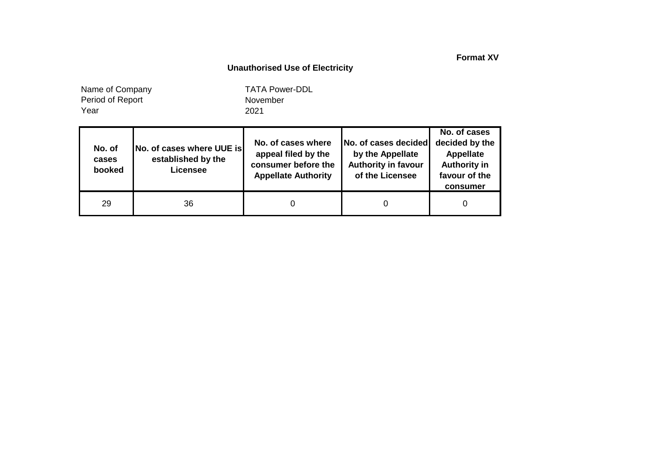**Format XV**

## **Unauthorised Use of Electricity**

Year Name of Company Period of Report

November 2021 TATA Power-DDL

| No. of<br>cases<br>booked | No. of cases where UUE is<br>established by the<br><b>Licensee</b> | No. of cases where<br>appeal filed by the<br>consumer before the<br><b>Appellate Authority</b> | No. of cases decided<br>by the Appellate<br><b>Authority in favour</b><br>of the Licensee | No. of cases<br>decided by the<br><b>Appellate</b><br><b>Authority in</b><br>favour of the<br>consumer |
|---------------------------|--------------------------------------------------------------------|------------------------------------------------------------------------------------------------|-------------------------------------------------------------------------------------------|--------------------------------------------------------------------------------------------------------|
| 29                        | 36                                                                 |                                                                                                |                                                                                           |                                                                                                        |